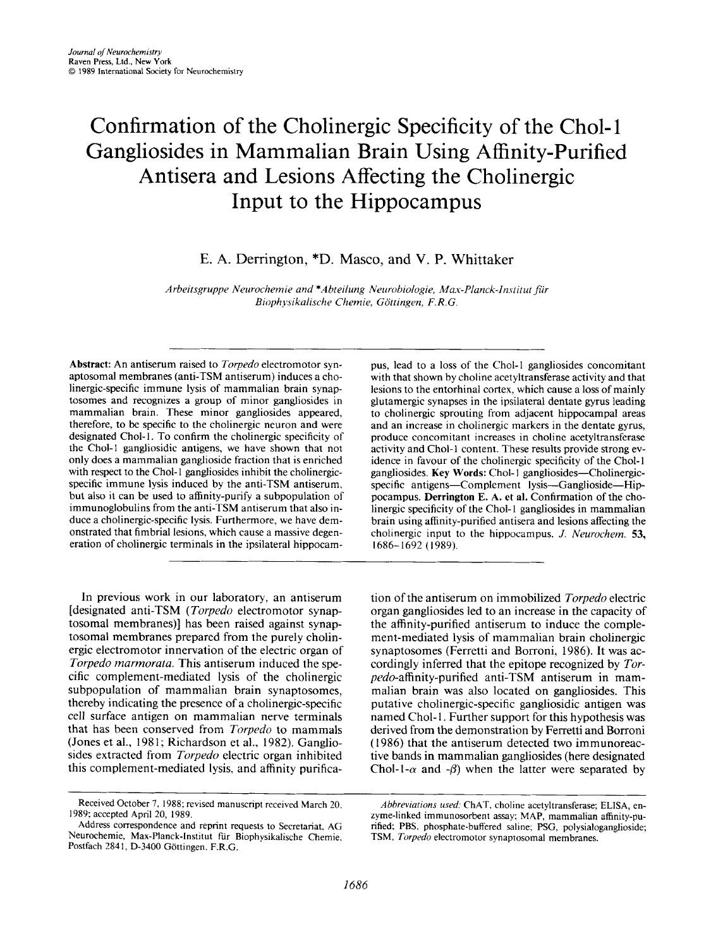# Confirmation of the Cholinergic Specificity of the Chol- 1 Gangliosides in Mammalian Brain Using Affinity-Purified Antisera and Lesions Affecting the Cholinergic Input to the Hippocampus

E. **A.** Derrington, \*D. Masco, and **V.** P. Whittaker

Arbeitsgruppe Neurochemie and \*Abteilung Neurobiologie, Max-Planck-Institut für *Biophj~sikulische Chemie, Gottingen, F. R.G.* 

Abstract: An antiserum raised to *Torpedo* electromotor synaptosomal membranes (anti-TSM antiserum) induces a cholinergic-specific immune lysis of mammalian brain synaptosomes and recognizes a group of minor gangliosides in mammalian brain. These minor gangliosides appeared, therefore, to be specific to the cholinergic neuron and were designated Chol-1. To confirm the cholinergic specificity of the Chol-I gangliosidic antigens, we have shown that not only does a mammalian ganglioside fraction that is enriched with respect to the Chol-1 gangliosides inhibit the cholinergicspecific immune lysis induced by the anti-TSM antiserum, but also it can be used to affinity-purify a subpopulation of immunoglobulins from the anti-TSM antiserum that also induce a cholinergic-specific lysis. Furthermore, we have demonstrated that fimbrial lesions, which cause a massive degeneration of cholinergic terminals in the ipsilateral hippocam-

In previous work in our laboratory, an antiserum [designated anti-TSM (*Torpedo* electromotor synaptosomal membranes)] has been raised against synaptosomal membranes prepared from the purely cholinergic electromotor innervation of the electric organ of Torpedo marmorata. This antiserum induced the specific complement-mediated lysis of the cholinergic subpopulation of mammalian brain synaptosomes, thereby indicating the presence of a cholinergic-specific cell surface antigen on mammalian nerve terminals that has been conserved from Torpedo to mammals (Jones et al., 1981; Richardson et al., 1982). Gangliosides extracted from Torpedo electric organ inhibited this complement-mediated lysis, and affinity purifica-

Received October 7, **1988;** revised manuscript received March 20. **1989;** accepted April **20, 1989.** 

pus, lead to a loss of the Chol-1 gangliosides concomitant with that shown by choline acetyltransferase activity and that lesions to the entorhinal cortex, which cause **a** loss of mainly glutamergic synapses in the ipsilateral dentate gyrus leading to cholinergic sprouting from adjacent hippocampal areas and an increase in cholinergic markers in the dentate gyrus, produce concomitant increases in choline acetyltransferase activity and Chol-1 content. These results provide strong evidence in favour of the cholinergic specificity of the Chol- **<sup>1</sup>** gangliosides. Key Words: Chol-1 gangliosides-Cholinergicspecific antigens-Complement lysis-Ganglioside-Hippocampus. Derrington **E.** A. **et** al. Confirmation of the cholinergic specificity of the Chol-1 gangliosides in mammalian brain using affinity-purified antisera and lesions affecting the cholinergic input to the hippocampus. *J. Neurochem.* **53, 1686-** 1692 **(1989).** 

tion of the antiserum on immobilized Torpedo electric organ gangliosides led to an increase in the capacity of the affinity-purified antiserum to induce the complement-mediated lysis of mammalian brain cholinergic synaptosomes (Ferretti and Borroni, 1986). It was accordingly inferred that the epitope recognized by Torpedo-affinity-purified anti-TSM antiserum in mammalian brain was also located on gangliosides. This putative cholinergic-specific gangliosidic antigen was named Chol-1. Further support for this hypothesis was derived from the demonstration by Ferretti and Borroni ( 1986) that the antiserum detected two immunoreactive bands in mammalian gangliosides (here designated Chol-1- $\alpha$  and - $\beta$ ) when the latter were separated by

Address correspondence and reprint requests to Secretariat, AG Neurochemie, Max-Planck-Institut fur Biophysikalische Chemie. Postfach 2841, **D-3400** Gottingen. F.R.G.

*Abbreviations used:* ChAT, choline acetyltransferase; ELISA, enzyme-linked immunosorbent assay; MAP, mammalian affinity-purified; PBS, phosphate-buffered saline; PSG, polysialoganglioside; TSM, *Torpedo* electromotor synaptosomal membranes.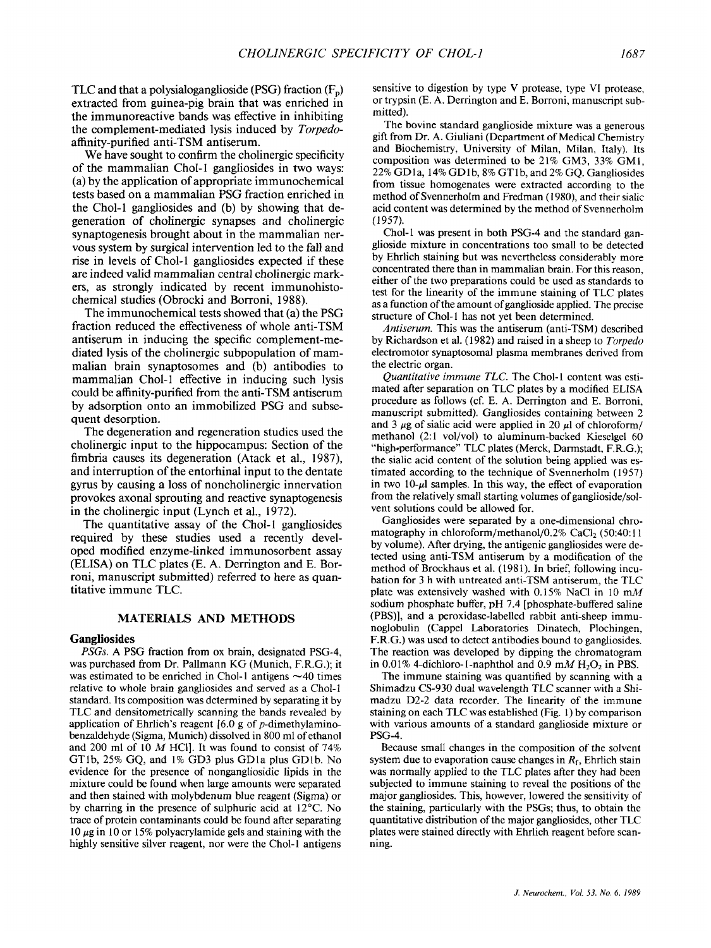TLC and that a polysialoganglioside **(PSG)** fraction (F,,) extracted from guinea-pig brain that was enriched in the immunoreactive bands was effective in inhibiting the complement-mediated lysis induced by *Torpedo*affinity-purified anti-TSM antiserum.

We have sought to confirm the cholinergic specificity of the mammalian Chol-1 gangliosides in two ways: (a) by the application of appropriate immunochemical tests based on a mammalian **PSG** fraction enriched in the Chol-1 gangliosides and (b) by showing that degeneration of cholinergic synapses and cholinergic synaptogenesis brought about in the mammalian nervous system by surgical intervention led to the fall and rise in levels of Chol-1 gangliosides expected if these are indeed valid mammalian central cholinergic markers, as strongly indicated by recent immunohistochemical studies (Obrocki and Borroni, 1988).

The immunochemical tests showed that (a) the **PSG**  fraction reduced the effectiveness of whole anti-TSM antiserum in inducing the specific complement-mediated lysis of the cholinergic subpopulation of mammalian brain synaptosomes and (b) antibodies to mammalian Chol-1 effective in inducing such lysis could be affinity-purified from the anti-TSM antiserum by adsorption onto an immobilized **PSG** and subsequent desorption.

The degeneration and regeneration studies used the cholinergic input to the hippocampus: Section of the fimbria causes its degeneration (Atack et al., 1987), and interruption of the entorhinal input to the dentate gyrus by causing a loss of noncholinergic innervation provokes axonal sprouting and reactive synaptogenesis in the cholinergic input (Lynch et al., 1972).

The quantitative assay of the Chol-1 gangliosides required by these studies used a recently developed modified enzyme-linked immunosorbent assay **(ELISA)** on TLC plates (E. A. Denington and E. Borroni, manuscript submitted) referred to here **as** quantitative immune TLC.

# **MATERIALS AND METHODS**

# **Gangliosides**

*PSGs.* **A** PSG fraction from ox brain, designated PSG-4, was purchased from Dr. Pallmann KG (Munich, F.R.G.); it was estimated to be enriched in Chol-1 antigens  $\sim$  40 times relative to whole brain gangliosides and served as a Chol-1 standard. Its composition was determined by separating it by TLC and densitometrically scanning the bands revealed by application of Ehrlich's reagent  $[6.0 \text{ g of } p$ -dimethylaminobenzaldehyde (Sigma, Munich) dissolved in 800 ml of ethanol and 200 ml of 10 *M* HCI]. It was found to consist of 74% GTlb, 25% GQ, and 1% GD3 plus GDla plus GDlb. No evidence for the presence of nongangliosidic lipids in the mixture could be found when large amounts were separated and then stained with molybdenum blue reagent (Sigma) or by charring in the presence of sulphuric acid at 12<sup>o</sup>C. No trace of protein contaminants could be found after separating 10 *pg* in 10 or 15% polyacrylamide gels and staining with the highly sensitive silver reagent, nor were the Chol-1 antigens

sensitive to digestion by type V protease, type **VI** protease, or trypsin (E. A. Derrington and E. Borroni, manuscript submitted).

The bovine standard ganglioside mixture was a generous gift from Dr. **A.** Giuliani (Department of Medical Chemistry and Biochemistry, University of Milan, Milan, Italy). Its composition was determined to be 21% GM3, 33% GMl, 22% GD1a, 14% GD1b, 8% GT1b, and 2% GQ. Gangliosides from tissue homogenates were extracted according to the method of Svennerholm and Fredman (1980), and their sialic acid content was determined by the method of Svennerholm **(1** *957).* 

Chol-1 was present in both PSG-4 and the standard ganglioside mixture in concentrations too small to be detected by Ehrlich staining but was nevertheless considerably more concentrated there than in mammalian brain. For this reason, either of the two preparations could be used as standards to test for the linearity of the immune staining of TLC plates as a function of the amount ofganglioside applied. The precise structure of Chol-I has not yet been determined.

*Antiserum.* This was the antiserum (anti-TSM) described by Richardson et al. (1 982) and raised in a sheep to *Torpedo*  electromotor synaptosomal plasma membranes derived from the electric organ.

*Quantitative immune TLC.* The Chol-1 content was estimated after separation on TLC plates by a modified ELISA procedure as follows (cf. E. A. Derrington and E. Borroni, manuscript submitted). Gangliosides containing between 2 and 3  $\mu$ g of sialic acid were applied in 20  $\mu$ l of chloroform/ methanol (2:1 vol/vol) to aluminum-backed Kieselgel 60 "high+performance" TLC plates (Merck, Darmstadt, F.R.G.); the sialic acid content of the solution being applied was estimated according to the technique of Svennerholm (1957) in two  $10-\mu l$  samples. In this way, the effect of evaporation from the relatively small starting volumes of ganglioside/solvent solutions could be allowed for.

Gangliosides were separated by a one-dimensional chromatography in chloroform/methanol/0.2% CaCl<sub>2</sub> (50:40:11 by volume). After drying, the antigenic gangliosides were detected using anti-TSM antiserum by a modification of the method of Brockhaus et al. (1981). In brief, following incubation for **3** h with untreated anti-TSM antiserum, the TLC plate was extensively washed with 0.15% NaCl in 10 mM sodium phosphate buffer, pH 7.4 [phosphate-buffered saline (PBS)], and a peroxidase-labelled rabbit anti-sheep immunoglobulin (Cappel Laboratories Dinatech, Plochingen, F.R.G.) was used to detect antibodies bound to gangliosides. The reaction was developed by dipping the chromatogram in 0.01% 4-dichloro-1-naphthol and 0.9  $mM H_2O_2$  in PBS.

The immune staining was quantified by scanning with a Shimadzu CS-930 dual wavelength TLC scanner with a Shimadzu D2-2 data recorder. The linearity of the immune staining on each TLC was established (Fig. 1) by comparison with various amounts of a standard ganglioside mixture or PSG-4.

Because small changes in the composition of the solvent system due to evaporation cause changes in  $R_f$ , Ehrlich stain was normally applied to the TLC plates after they had been subjected to immune staining to reveal the positions of the major gangliosides. This, however, lowered the sensitivity of the staining, particularly with the PSGs; thus, to obtain the quantitative distribution of the major gangliosides, other TLC plates were stained directly with Ehrlich reagent before scanning.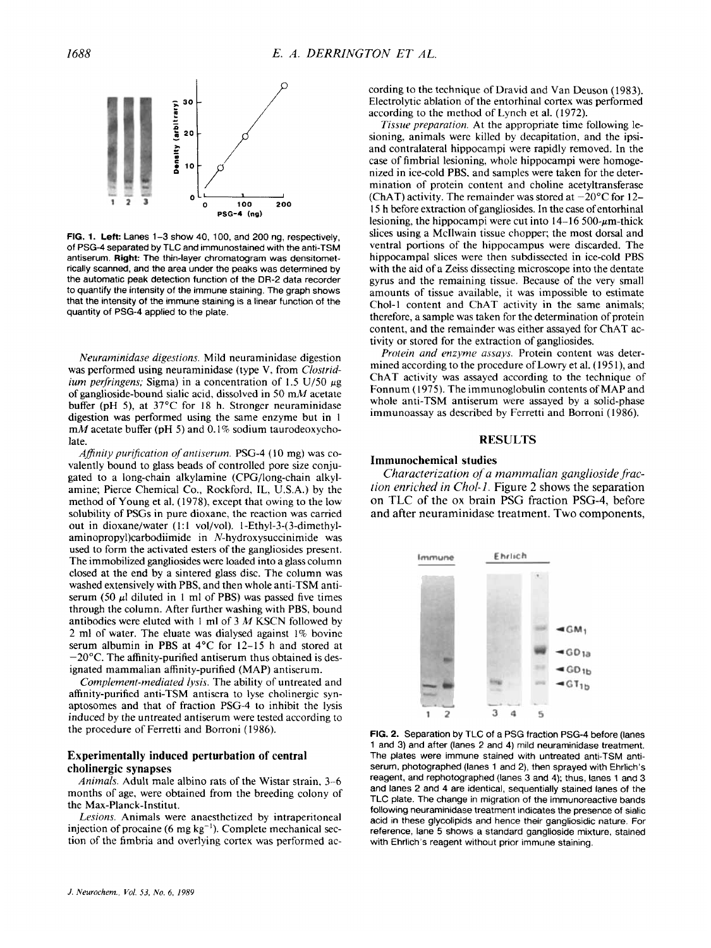

**FIG. 1. Left: Lanes 1-3 show 40, 100, and 200 ng, respectively,** of PSG-4 separated by TLC and immunostained with the anti-TSM antiserum. **Right:** The thin-layer chromatogram was densitometrically scanned, and the area under the peaks was determined by the automatic peak detection function of the **DR-2** data recorder to quantify the intensity of the immune staining. The graph shows that the intensity of the immune staining is a linear function of the quantity of PSG-4 applied to the plate.

*Neuraminidase digestions.* Mild neuraminidase digestion was performed using neuraminidase (type **V.** from *Clustridium perfringens;* Sigma) in a concentration of 1.5 U/50  $\mu$ g of ganglioside-bound sialic acid, dissolved in 50 mM acetate buffer (pH 5), at 37°C for 18 h. Stronger neuraminidase digestion was performed using the same enzyme but in 1 mM acetate buffer (pH *5)* and 0.1% sodium taurodeoxycholate.

*Afinity purijication of aniiserurn.* PSG-4 ( 10 mg) was covalently bound to glass beads of controlled pore size conjugated to a long-chain alkylamine (CPG/long-chain alkylamine; Pierce Chemical Co., Rockford, IL. U.S.A.) by the method of Young et al. (1978). except that owing to the low solubility of PSGs in pure dioxane, the reaction was carried out in dioxane/water (1:1 vol/vol). 1-Ethyl-3-(3-dimethylaminopropy1)carbodiimide in N-hydroxysuccinimide was used to form the activated esters of the gangliosides present. The immobilized gangliosides were loaded into a glass column closed at the end by a sintered glass disc. The column was washed extensively with PBS, and then whole anti-TSM antiserum (50  $\mu$ l diluted in 1 ml of PBS) was passed five times through the column. After further washing with PBS, bound antibodies were eluted with 1 ml of *3 M* KSCN followed by 2 ml of water. The eluate was dialysed against 1% bovine serum albumin in PBS at 4°C for 12-15 h and stored at  $-20^{\circ}$ C. The affinity-purified antiserum thus obtained is designated mammalian affinity-purified (MAP) antiserum.

*Complement-mediated lysis.* The ability of untreated and affinity-purified anti-TSM antisera to lyse cholinergic synaptosomes and that of fraction PSG-4 to inhibit the lysis induced by the untreated antiserum were tested according to the procedure of Ferretti and Borroni ( 1986).

### **Experimentally induced perturbation of central cholinergic synapses**

*Animals.* Adult male albino rats of the Wistar strain, 3-6 months of age, were obtained from the breeding colony of the Max-Planck-Institut.

*Lesions.* Animals were anaesthetized by intraperitoneal injection of procaine (6 mg  $kg^{-1}$ ). Complete mechanical section of the fimbria and overlying cortex was performed according to the technique of Dravid and Van Deuson (1983). Electrolytic ablation of the entorhinal cortex was performed according to the method of Lynch et al. (1972).

*Tissue preparation.* At the appropriate time following lesioning, animals were killed by decapitation, and the ipsiand contralateral hippocampi were rapidly removed. In the case of fimbrial lesioning, whole hippocampi were homogenized in ice-cold PBS. and samples were taken for the determination of protein content and choline acetyltransferase (ChAT) activity. The remainder was stored at  $-20^{\circ}$ C for 12-15 h before extraction of gangliosides. In the case of entorhinal lesioning, the hippocampi were cut into  $14-16500$ - $\mu$ m-thick slices using a Mcllwain tissue chopper; the most dorsal and ventral portions of the hippocampus were discarded. The hippocampal slices were then subdissected in ice-cold PBS with the aid of a Zeiss dissecting microscope into the dentate gyrus and the remaining tissue. Because of the very small amounts of tissue available, it was impossible to estimate Chol-l content and ChAT activity in the same animals; therefore, a sample was taken for the determination of protein content, and the remainder was either assayed for ChAT activity or stored for the extraction of gangliosides.

*Profein and enzyme assays.* Protein content was determined according to the procedure of Lowry et al. (1951), and ChAT activity was assayed according to the technique of Fonnum (1975). The immunoglobulin contents of MAP and whole anti-TSM antiserum were assayed by a solid-phase immunoassay as described by Ferretti and Borroni (1986).

#### **RESULTS**

#### **Immunochemical studies**

Characterization of a mammalian ganglioside frac*tion enriched in Chol-I.* Figure *2* shows the separation on TLC of the **ox** brain PSG fraction **PSG-4,** before and after neuraminidase treatment. Two components,



**FIG. 2.** Separation by TLG of a PSG fraction PSG-4 before (lanes 1 and 3) and after (lanes 2 and 4) mild neuraminidase treatment. The plates were immune stained with untreated anti-TSM antiserum, photographed (lanes 1 and 2), then sprayed with Ehrlich's reagent, and rephotographed (lanes 3 and **4);** thus, lanes 1 and 3 and lanes 2 and 4 are identical, sequentially stained lanes of the TLC plate. The change in migration of the immunoreactive bands following neuraminidase treatment indicates the presence of sialic acid in these glycolipids and hence their gangliosidic nature. For reference, lane 5 shows a standard ganglioside mixture, stained with Ehrlich's reagent without prior immune staining.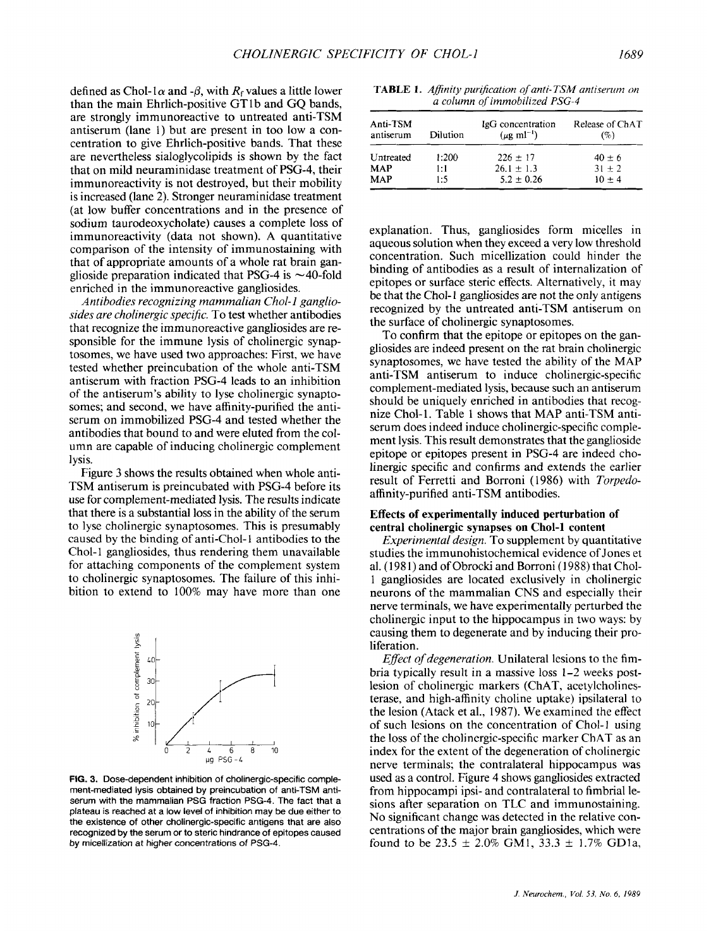defined as Chol-1 $\alpha$  and - $\beta$ , with  $R_f$  values a little lower than the main Ehrlich-positive GT1b and GQ bands, are strongly immunoreactive to untreated anti-TSM antiserum (lane 1) but are present in too low a concentration to give Ehrlich-positive bands. That these are nevertheless sialoglycolipids is shown by the fact that on mild neuraminidase treatment of PSG-4, their immunoreactivity is not destroyed, but their mobility is increased (lane 2). Stronger neuraminidase treatment (at low buffer concentrations and in the presence of sodium taurodeoxycholate) causes a complete loss of immunoreactivity (data not shown). A quantitative comparison of the intensity of immunostaining with that of appropriate amounts of a whole rat brain ganglioside preparation indicated that PSG-4 is  $\sim$ 40-fold enriched in the immunoreactive gangliosides.

*Antibodies recognizing mammalian Chol-1 gangliosides are cholinergic specific.* To test whether antibodies that recognize the immunoreactive gangliosides are responsible for the immune lysis of cholinergic synaptosomes, we have used two approaches: First, we have tested whether preincubation of the whole anti-TSM antiserum with fraction PSG-4 leads to an inhibition of the antiserum's ability to lyse cholinergic synaptosomes; and second, we have affinity-purified the antiserum on immobilized PSG-4 and tested whether the antibodies that bound to and were eluted from the column are capable of inducing cholinergic complement lysis.

Figure **3** shows the results obtained when whole anti-TSM antiserum is preincubated with PSG-4 before its use for complement-mediated lysis. The results indicate that there is a substantial loss in the ability of the serum to lyse cholinergic synaptosomes. This is presumably caused by the binding of anti-Chol-1 antibodies to the Chol-1 gangliosides, thus rendering them unavailable for attaching components of the complement system to cholinergic synaptosomes. The failure of this inhibition to extend to 100% may have more than one



**FIG. 3. Dose-dependent inhibition of cholinergic-specific complement-mediated lysis obtained by preincubation of anti-TSM antiserum with the mammalian PSG fraction PSG-4. The fact that a plateau is reached at a low level** of **inhibition may be due either** to **the existence of other cholinergic-specific antigens that are also recognized by the serum or to steric hindrance of epitopes caused by rnicellization at higher concentrations** *of* **PSG-4.** 

| <b>TABLE 1.</b> Affinity purification of anti-TSM antiserum on |
|----------------------------------------------------------------|
| a column of immobilized PSG-4                                  |

| Anti-TSM<br>antiserum | Dilution | IgG concentration<br>$(\mu$ g ml <sup>-1</sup> ) | Release of ChAT<br>$( \% )$ |
|-----------------------|----------|--------------------------------------------------|-----------------------------|
| Untreated             | 1:200    | $226 \pm 17$                                     | $40 \pm 6$                  |
| <b>MAP</b>            | 1:1      | $26.1 \pm 1.3$                                   | $31 + 2$                    |
| MAP                   | 1:5      | $5.2 \pm 0.26$                                   | $10 + 4$                    |

explanation. Thus, gangliosides form micelles in aqueous solution when they exceed a very low threshold concentration. Such micellization could hinder the binding of antibodies as a result of internalization of epitopes or surface steric effects. Alternatively, it may be that the Chol-1 gangliosides are not the only antigens recognized by the untreated anti-TSM antiserum on the surface of cholinergic synaptosomes.

To confirm that the epitope or epitopes on the gangliosides are indeed present on the rat brain cholinergic synaptosomes, we have tested the ability of the MAP anti-TSM antiserum to induce cholinergic-specific complement-mediated lysis, because such an antiserum should be uniquely enriched in antibodies that recognize Chol-1. Table 1 shows that MAP anti-TSM antiserum does indeed induce cholinergic-specific complement lysis. This result demonstrates that the ganglioside epitope or epitopes present in PSG-4 are indeed cholinergic specific and confirms and extends the earlier result of Ferretti and Borroni (1986) with *Torpedo*affinity-purified anti-TSM antibodies.

# **Effects of experimentally induced perturbation of central cholinergic synapses on Chol-1 content**

*Experimental design.* To supplement by quantitative studies the immunohistochemical evidence of Jones et al. (1981) and of Obrocki and Borroni (1988) that Chol-1 gangliosides are located exclusively in cholinergic neurons of the mammalian CNS and especially their nerve terminals, we have experimentally perturbed the cholinergic input to the hippocampus in two ways: by causing them to degenerate and by inducing their proliferation.

*Effect of degeneration.* Unilateral lesions to the fimbria typically result in a massive loss 1-2 weeks postlesion of cholinergic markers (ChAT, acetylcholinesterase, and high-affinity choline uptake) ipsilateral to the lesion (Atack et al., 1987). We examined the effect of such lesions on the concentration of Chol-1 using the loss of the cholinergic-specific marker ChAT as an index for the extent of the degeneration of cholinergic nerve terminals; the contralateral hippocampus was used as a control. Figure 4 shows gangliosides extracted from hippocampi ipsi- and contralateral to fimbrial lesions after separation on TLC and immunostaining. No significant change was detected in the relative concentrations of the major brain gangliosides, which were found to be 23.5  $\pm$  2.0% GM1, 33.3  $\pm$  1.7% GD1a,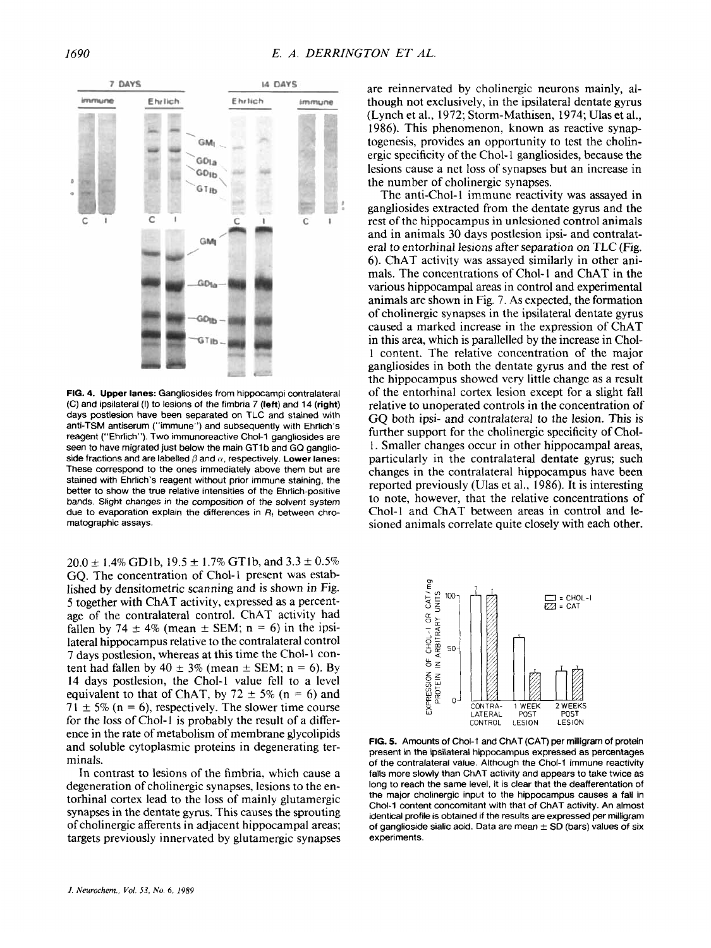

**FIG. 4. Upper lanes:** Gangliosides from hippocampi contralateral (C) and ipsilateral (I) to lesions of the fimbria 7 **(left)** and **14** (right) days postlesion have been separated on TLC and stained with anti-TSM antiserum ("immune") and subsequently with Ehrlich's reagent ("Ehrlich"). **Two** immunoreactive Chol-1 gangliosides are seen to have migrated just below the main GT1 b and **GQ** ganglioside fractions and are labelled  $\beta$  and  $\alpha$ , respectively. **Lower lanes:** These correspond to the ones immediately above them but are stained with Ehrlich's reagent without prior immune staining, the better to show the true relative intensities of the Ehrlich-positive bands. Slight changes in the composition of the solvent system due to evaporation explain the differences in *R,* between chromatographic assays.

 $20.0 \pm 1.4\%$  GD1b,  $19.5 \pm 1.7\%$  GT1b, and  $3.3 \pm 0.5\%$ GQ. The concentration of Chol-1 present was established by densitometric scanning and is shown in Fig. 5 together with ChAT activity, expressed as a percentage of the contralateral control. ChAT activity had fallen by 74  $\pm$  4% (mean  $\pm$  SEM; n = 6) in the ipsilateral hippocampus relative to the contralateral control 7 days postlesion, whereas at this time the Chol- 1 content had fallen by  $40 \pm 3\%$  (mean  $\pm$  SEM; n = 6). By 14 days postlesion, the Chol-1 value fell to a level equivalent to that of ChAT, by  $72 \pm 5\%$  (n = 6) and  $71 \pm 5\%$  (n = 6), respectively. The slower time course for the loss of Chol-1 is probably the result of a difference in the rate of metabolism of membrane glycolipids and soluble cytoplasmic proteins in degenerating terminals.

In contrast to lesions of the fimbria, which cause a degeneration of cholinergic synapses, lesions to the entorhinal cortex lead to the loss of mainly glutamergic synapses in the dentate gyrus. This causes the sprouting of cholinergic afferents in adjacent hippocampal areas; targets previously innervated by glutamergic synapses are reinnervated by cholinergic neurons mainly, although not exclusively, in the ipsilateral dentate **gyrus**  (Lynch et al., 1972; Storm-Mathisen, 1974; Ulas et al., 1986). This phenomenon, known as reactive synaptogenesis, provides an opportunity to test the cholinergic specificity of the Chol-1 gangliosides, because the lesions cause a net loss of synapses but an increase in the number of cholinergic synapses.

The anti-Chol-1 immune reactivity was assayed in gangliosides extracted from the dentate gyrus and the rest of the hippocampus in unlesioned control animals and in animals **30** days postlesion ipsi- and contralatera1 to entorhinal lesions after separation on TLC (Fig. 6). ChAT activity was assayed similarly in other animals. The concentrations of Chol-1 and ChAT in the various hippocampal areas in control and experimental animals are shown in Fig. 7. As expected, the formation of cholinergic synapses in the ipsilateral dentate gyrus caused a marked increase in the expression of ChAT in this area, which is parallelled by the increase in Chol-1 content. The relative concentration of the major gangliosides in both the dentate gyrus and the rest of the hippocampus showed very little change as a result of the entorhinal cortex lesion except for a slight fall relative to unoperated controls in the concentration of **GQ** both ipsi- and contralateral to the lesion. This is further support for the cholinergic specificity of Chol-1. Smaller changes occur in other hippocampal areas, particularly in the contralateral dentate gyrus; such changes in the contralateral hippocampus have been reported previously (Ulas et al., 1986). It is interesting to note, however, that the relative concentrations of Chol-1 and ChAT between areas in control and lesioned animals correlate quite closely with each other.



**FIG.** *5.* Amounts of Chol-1 and ChAT (CAT) per milligram of protein present in the ipsilateral hippocampus expressed as percentages of the contralateral value. Although the Chol-1 immune reactivity falls more slowly than ChAT activity and appears to take twice as long to reach the same level, it is clear that the deafferentation of the major cholinergic input to the hippocampus causes a fall in Chol-I content concomitant with that of ChAT activity. An almost identical profile is obtained if the results are expressed per milligram of ganglioside sialic acid. Data are mean  $\pm$  SD (bars) values of six experiments.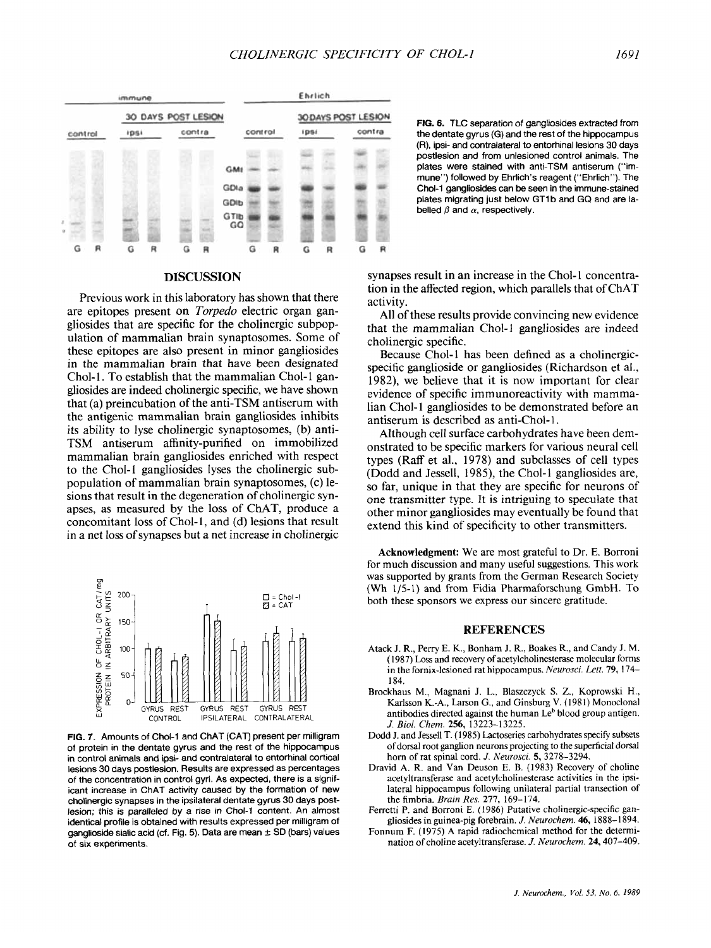

# **DlSCUSSION**

Previous work in this laboratory has shown that there are epitopes present on *Torpedo* electric organ gangliosides that are specific for the cholinergic subpopulation of mammalian brain synaptosomes. Some of these epitopes are also present in minor gangliosides in the mammalian brain that have been designated Chol-1. To establish that the mammalian Chol-1 gangliosides are indeed cholinergic specific, we have shown that (a) preincubation of the anti-TSM antiserum with the antigenic mammalian brain gangliosides inhibits its ability to lyse cholinergic synaptosomes, (b) anti-**TSM** antiserum affinity-purified on immobilized mammalian brain gangliosides enriched with respect to the Chol-1 gangliosides lyses the cholinergic subpopulation of mammalian brain synaptosomes, (c) lesions that result in the degeneration of cholinergic synapses, as measured by the loss of ChAT, produce a concomitant loss of Chol-1, and (d) lesions that result in a net loss of synapses but a net increase in cholinergic



**FIG.** *7.* Amounts of Chol-1 and ChAT (CAT) present per milligram of protein in the dentate gyrus and the rest of the hippocampus in control animals and ipsi- and contralateral to entorhinal cortical lesions 30 days postlesion. Results are expressed as percentages of the concentration in control gyri. As expected, there is a significant increase in ChAT activity caused by the formation of new cholinergic synapses in the ipsilateral dentate gyrus 30 days postlesion; this is paralleled **by** a rise in Chol-1 content. An almost identical profile is obtained with results expressed per milligram of ganglioside sialic acid (cf. Fig. 5). Data are mean  $\pm$  SD (bars) values **of** six experiments.

**FIG.** 6. TLC separation of gangliosides extracted from the dentate gyrus (G) and the rest of the hippocampus (R), ipsi- and contralateral to entorhinal lesions 30 days postlesion and from unlesioned control animals. The plates were stained with anti-TSM antiserum ("immune") followed by Ehrlich's reagent ("Ehrlich"). The Chol-1 gangliosides can be seen in the immune-stained plates migrating just below GT1b and GQ and are labelled  $\beta$  and  $\alpha$ , respectively.

synapses result in an increase in the Chol-1 concentration in the affected region, which parallels that of ChAT activity.

All of these results provide convincing new evidence that the mammalian Chol-1 gangliosides are indeed cholinergic specific.

Because Chol-1 has been defined as a cholinergicspecific ganglioside or gangliosides (Richardson et al., 1982), we believe that it is now important for clear evidence of specific immunoreactivity with mammalian Chol-1 gangliosides to be demonstrated before an antiserum is described as anti-Chol-1.

Although cell surface carbohydrates have been demonstrated to be specific markers for various neural cell types (Raff et al., 1978) and subclasses of cell types (Dodd and Jessell, 1985), the Chol-1 gangliosides are, so far, unique in that they are specific for neurons of one transmitter type. It is intriguing to speculate that other minor gangliosides may eventually be found that extend this kind of specificity to other transmitters.

**Acknowledgment:** We are most grateful to Dr. **E.** Borroni for much discussion and many useful suggestions. This work was supported by grants from the German Research Society (Wh 1/5-1) and from Fidia Pharmaforschung GmbH. To both these **sponsors** we express our sincere gratitude.

#### **REFERENCES**

- Atack J. R., Perry E. **K.,** Bonham J. R., Boakes R., and Candy J. M. (1 987) Loss and recovery of acetylcholinesterase molecular forms in the fornix-lesioned rat hippocampus. *Neurosci. Leu.* **79,** 174- 184.
- Brockhaus M., Magnani J. L., Blaszczyck **S.** *Z.,* Koprowski H., Karlsson K.-A., Larson G., and Ginsburg **V.** (1981) Monoclonal antibodies directed against the human Le' blood group antigen. *J. Biol. Chem. 256,* 13223-13225.
- Dodd J. and Jessell T. (1985) Lactoseries carbohydrates specify subsets of dorsal root ganglion neurons projecting to the superficial dorsal horn of rat spinal cord. *J. Neurosci*. **5**, 3278-3294.
- Dravid **A.** R. and Van Deuson E. B. (1983) Recovery of choline acetyltransferase and acetylcholinesterase activities in the ipsilateral hippocampus following unilateral partial transection of the fimbria. *Brain Res.* **277,** 169-174.
- Ferretti P. and Borroni E. (1986) Putative cholinergic-specific gangliosides in guinea-pig forebrain. *J. Neurochem. 46,* 1888-1 894.
- Fonnum F. (1975) A rapid radiochemical method for the determination of choline acetyltransferase. *J. Neurochem.* 24,407-409.